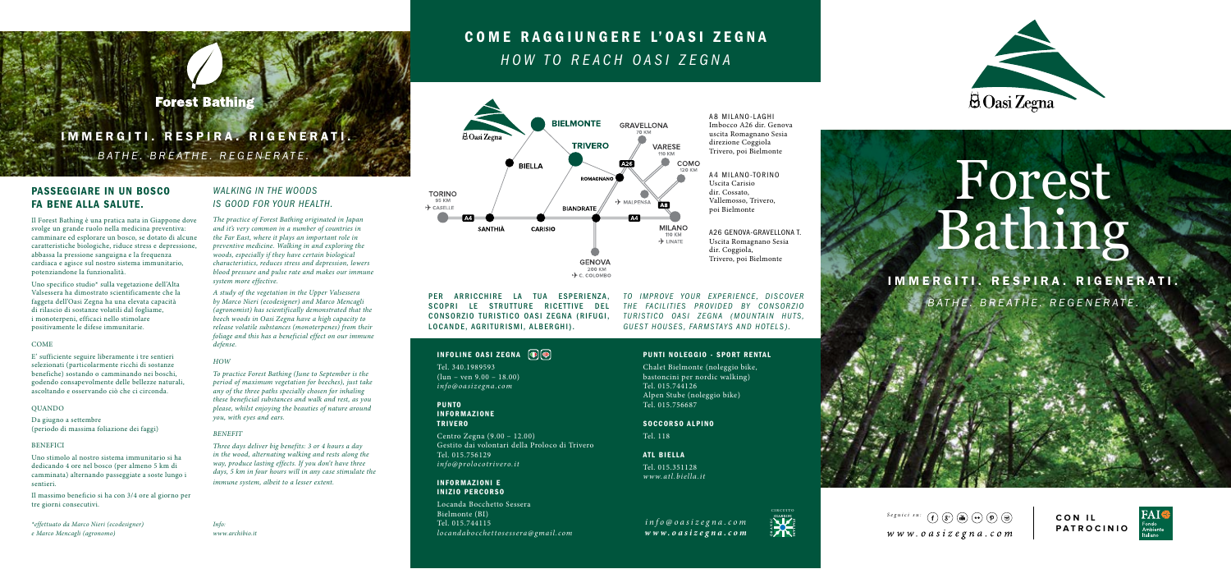# **Forest Bathing**

# *BATHE. BREATHE. REGENERATE.* IMMERGITI. RESPIRA. RIGENERATI.

*WALKING IN THE WOODS IS GOOD FOR YOUR HEALTH.*

*system more effective.* 

*you, with eyes and ears.*

*defense. HOW*

*BENEFIT*

*The practice of Forest Bathing originated in Japan and it's very common in a number of countries in the Far East, where it plays an important role in preventive medicine. Walking in and exploring the woods, especially if they have certain biological characteristics, reduces stress and depression, lowers blood pressure and pulse rate and makes our immune* 

*A study of the vegetation in the Upper Valsessera by Marco Nieri (ecodesigner) and Marco Mencagli (agronomist) has scientifically demonstrated that the beech woods in Oasi Zegna have a high capacity to release volatile substances (monoterpenes) from their foliage and this has a beneficial effect on our immune* 

*To practice Forest Bathing (June to September is the period of maximum vegetation for beeches), just take any of the three paths specially chosen for inhaling these beneficial substances and walk and rest, as you please, whilst enjoying the beauties of nature around* 

*Three days deliver big benefits: 3 or 4 hours a day in the wood, alternating walking and rests along the way, produce lasting effects. If you don't have three days, 5 km in four hours will in any case stimulate the* 

*immune system, albeit to a lesser extent.*

## PASSEGGIARE IN UN BOSCO FA BENE ALLA SALUTE.

Il Forest Bathing è una pratica nata in Giappone dove svolge un grande ruolo nella medicina preventiva: camminare ed esplorare un bosco, se dotato di alcune caratteristiche biologiche, riduce stress e depressione, abbassa la pressione sanguigna e la frequenza cardiaca e agisce sul nostro sistema immunitario, potenziandone la funzionalità.

Uno specifico studio\* sulla vegetazione dell'Alta Valsessera ha dimostrato scientificamente che la faggeta dell'Oasi Zegna ha una elevata capacità di rilascio di sostanze volatili dal fogliame, i monoterpeni, efficaci nello stimolare positivamente le difese immunitarie.

#### COME

E' sufficiente seguire liberamente i tre sentieri selezionati (particolarmente ricchi di sostanze benefiche) sostando o camminando nei boschi, godendo consapevolmente delle bellezze naturali, ascoltando e osservando ciò che ci circonda.

#### QUANDO

Da giugno a settembre (periodo di massima foliazione dei faggi)

#### **BENEFICI**

Uno stimolo al nostro sistema immunitario si ha dedicando 4 ore nel bosco (per almeno 5 km di camminata) alternando passeggiate a soste lungo i sentieri.

Il massimo beneficio si ha con 3/4 ore al giorno per tre giorni consecutivi.

*\*effettuato da Marco Nieri (ecodesigner) e Marco Mencagli (agronomo)*

*Info: www.archibio.it*

# COME RAGGIUNGERE L'OASI ZEGNA *HOW TO REACH OASI ZEGNA*



PER ARRICCHIRE LA TUA ESPERIENZA. SCOPRI LE STRUTTURE RICETTIVE DEL CONSORZIO TURISTICO OASI ZEGNA (RIFUGI, LOCANDE, AGRITURISMI, ALBERGHI).

### **INFOLINE OASI ZEGNA DO**

Tel. 340.1989593  $(lun - ven 9.00 - 18.00)$ *info@oasizegna.com*

PUNTO INFORMAZIONE TRIVERO

Centro Zegna (9.00 – 12.00) Gestito dai volontari della Proloco di Trivero Tel. 015.756129 *info@prolocotrivero.it*

#### INFORMAZIONI E INIZIO PERCORSO

Locanda Bocchetto Sessera Bielmonte (BI) Tel. 015.744115 *locandabocchettosessera@gmail.com* *TO IMPROVE YOUR EXPERIENCE. DISCOVFR* THE FACILITIES PROVIDED BY CONSORZIO **TURISTICO OASI ZEGNA (MOUNTAIN HUTS,** *GUEST HOUSES, FARMSTAYS AND HOTELS).*

#### PUNTI NOLEGGIO - SPORT RENTAL

Chalet Bielmonte (noleggio bike, bastoncini per nordic walking) Tel. 015.744126 Alpen Stube (noleggio bike) Tel. 015.756687

SOCCORSO ALPINO

Tel. 118

ATL BIELLA

Tel. 015.351128 *www.atl.biella.it*

*info@oasizegna.com www.oasizegna.com* circuito

**ACTES** 



Fondo<br>Ambiente **PATROCINIO**



# Forest Bathing

IMMERGITI. RESPIRA. RIGENERATI. *BATHE. BREATHE. REGENERATE.*